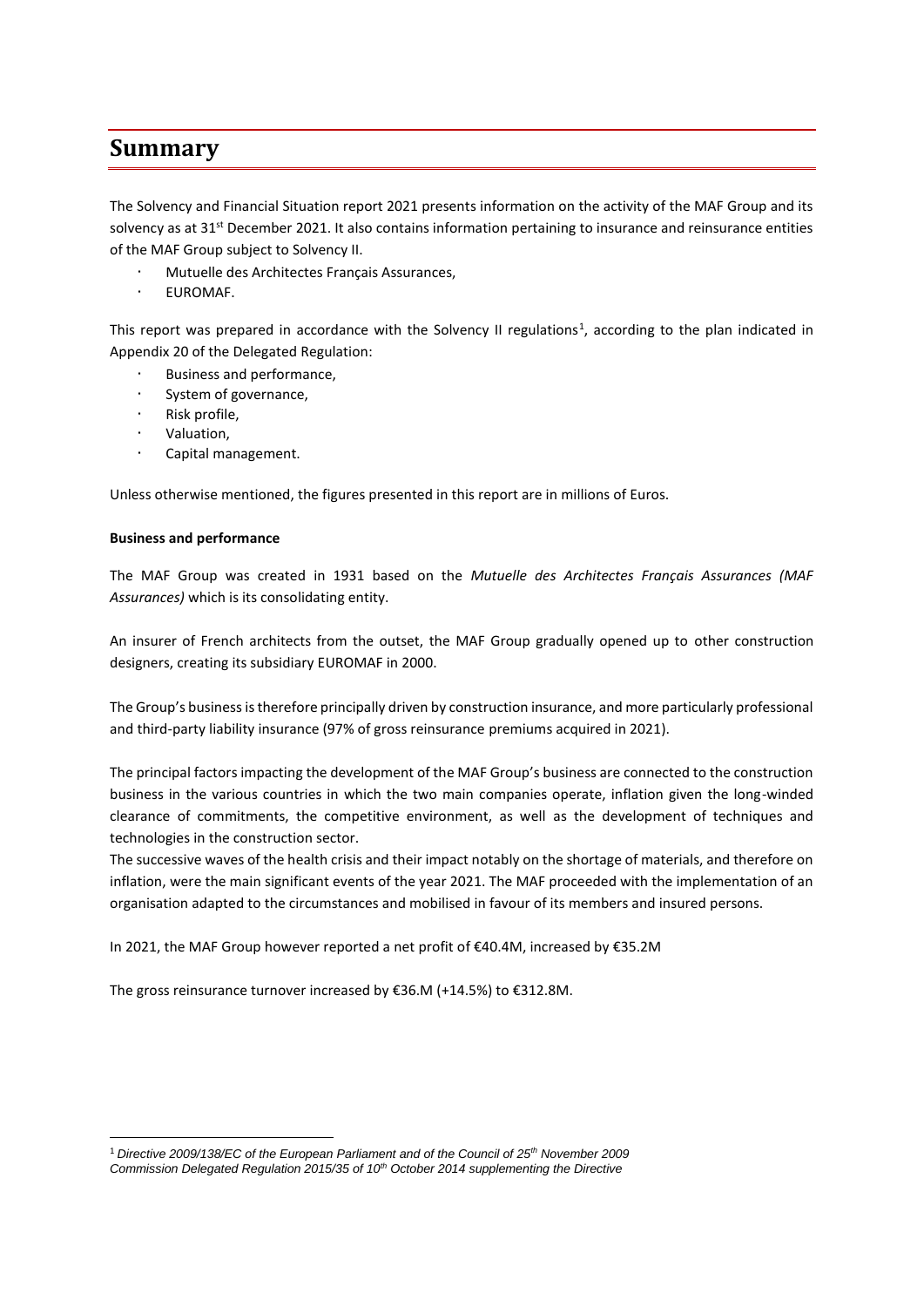# **Summary**

The Solvency and Financial Situation report 2021 presents information on the activity of the MAF Group and its solvency as at  $31^{st}$  December 2021. It also contains information pertaining to insurance and reinsurance entities of the MAF Group subject to Solvency II.

- Mutuelle des Architectes Français Assurances,
- EUROMAF.

This report was prepared in accordance with the Solvency II regulations<sup>1</sup>, according to the plan indicated in Appendix 20 of the Delegated Regulation:

- Business and performance,
- System of governance,
- Risk profile,
- Valuation,
- Capital management.

Unless otherwise mentioned, the figures presented in this report are in millions of Euros.

## **Business and performance**

1

The MAF Group was created in 1931 based on the *Mutuelle des Architectes Français Assurances (MAF Assurances)* which is its consolidating entity.

An insurer of French architects from the outset, the MAF Group gradually opened up to other construction designers, creating its subsidiary EUROMAF in 2000.

The Group's business is therefore principally driven by construction insurance, and more particularly professional and third-party liability insurance (97% of gross reinsurance premiums acquired in 2021).

The principal factors impacting the development of the MAF Group's business are connected to the construction business in the various countries in which the two main companies operate, inflation given the long-winded clearance of commitments, the competitive environment, as well as the development of techniques and technologies in the construction sector.

The successive waves of the health crisis and their impact notably on the shortage of materials, and therefore on inflation, were the main significant events of the year 2021. The MAF proceeded with the implementation of an organisation adapted to the circumstances and mobilised in favour of its members and insured persons.

In 2021, the MAF Group however reported a net profit of €40.4M, increased by €35.2M

The gross reinsurance turnover increased by €36.M (+14.5%) to €312.8M.

<sup>1</sup> *Directive 2009/138/EC of the European Parliament and of the Council of 25th November 2009 Commission Delegated Regulation 2015/35 of 10th October 2014 supplementing the Directive*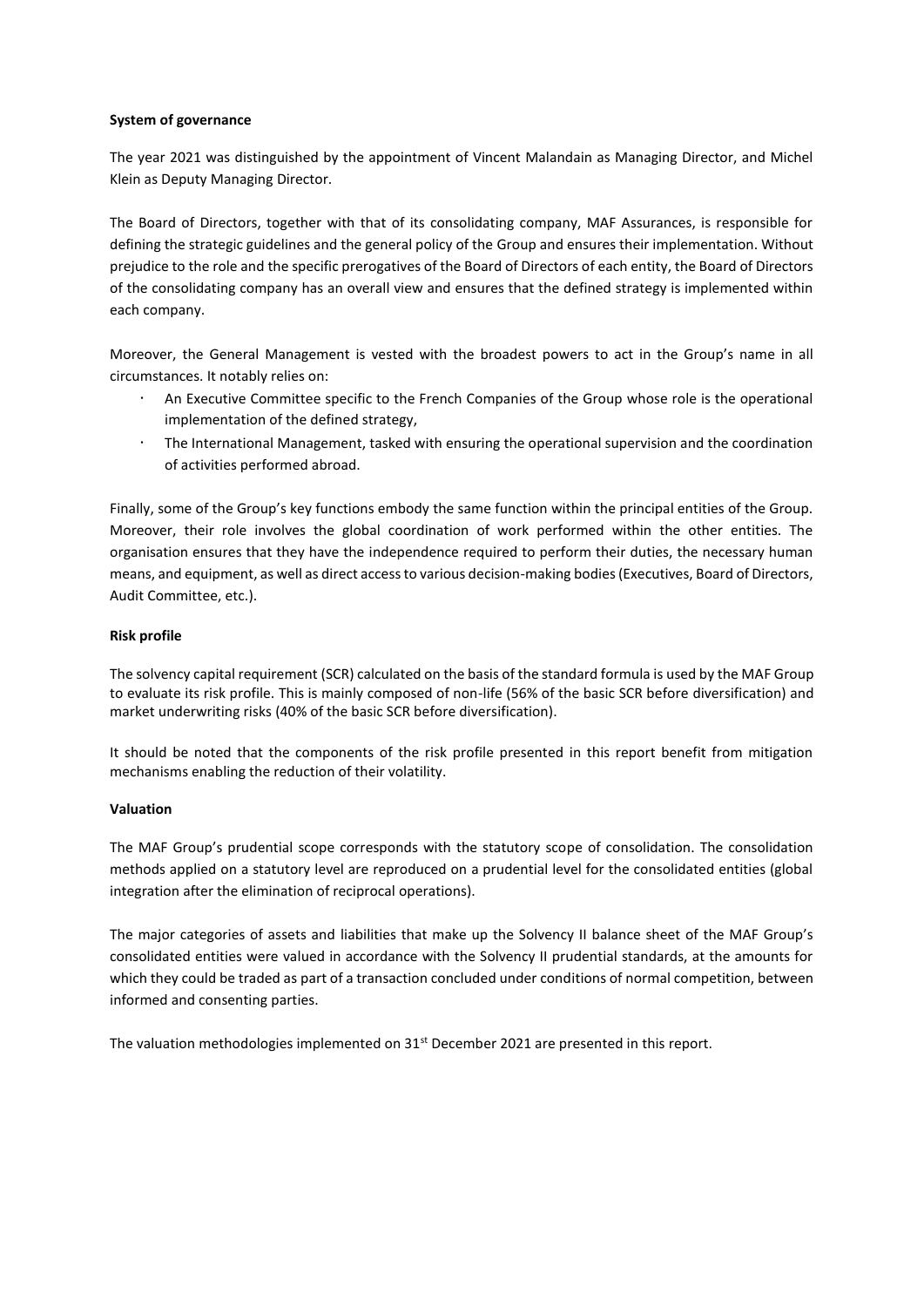#### **System of governance**

The year 2021 was distinguished by the appointment of Vincent Malandain as Managing Director, and Michel Klein as Deputy Managing Director.

The Board of Directors, together with that of its consolidating company, MAF Assurances, is responsible for defining the strategic guidelines and the general policy of the Group and ensures their implementation. Without prejudice to the role and the specific prerogatives of the Board of Directors of each entity, the Board of Directors of the consolidating company has an overall view and ensures that the defined strategy is implemented within each company.

Moreover, the General Management is vested with the broadest powers to act in the Group's name in all circumstances. It notably relies on:

- An Executive Committee specific to the French Companies of the Group whose role is the operational implementation of the defined strategy,
- The International Management, tasked with ensuring the operational supervision and the coordination of activities performed abroad.

Finally, some of the Group's key functions embody the same function within the principal entities of the Group. Moreover, their role involves the global coordination of work performed within the other entities. The organisation ensures that they have the independence required to perform their duties, the necessary human means, and equipment, as well as direct access to various decision-making bodies (Executives, Board of Directors, Audit Committee, etc.).

## **Risk profile**

The solvency capital requirement (SCR) calculated on the basis of the standard formula is used by the MAF Group to evaluate its risk profile. This is mainly composed of non-life (56% of the basic SCR before diversification) and market underwriting risks (40% of the basic SCR before diversification).

It should be noted that the components of the risk profile presented in this report benefit from mitigation mechanisms enabling the reduction of their volatility.

## **Valuation**

The MAF Group's prudential scope corresponds with the statutory scope of consolidation. The consolidation methods applied on a statutory level are reproduced on a prudential level for the consolidated entities (global integration after the elimination of reciprocal operations).

The major categories of assets and liabilities that make up the Solvency II balance sheet of the MAF Group's consolidated entities were valued in accordance with the Solvency II prudential standards, at the amounts for which they could be traded as part of a transaction concluded under conditions of normal competition, between informed and consenting parties.

The valuation methodologies implemented on 31<sup>st</sup> December 2021 are presented in this report.